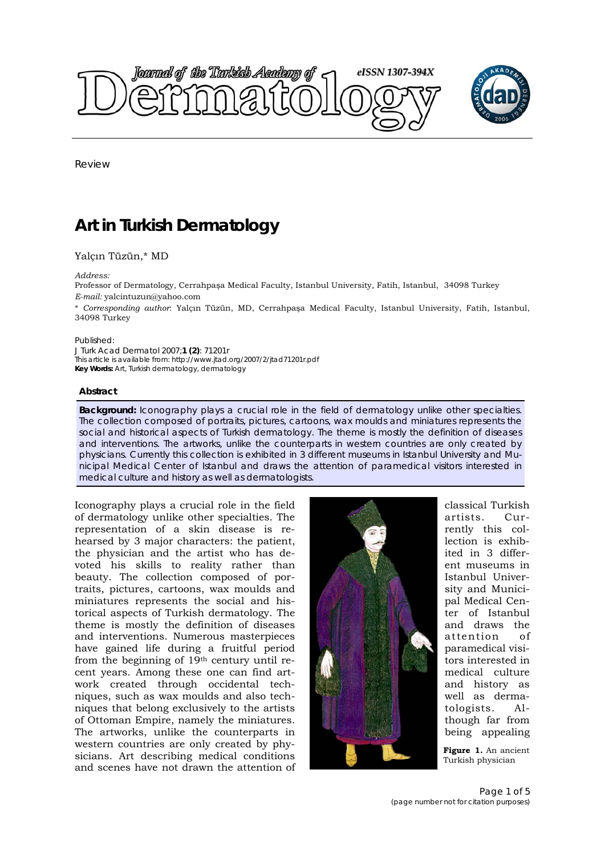



Review

# **Art in Turkish Dermatology**

# Yalçın Tüzün,\* MD

### *Address:*

Professor of Dermatology, Cerrahpaşa Medical Faculty, Istanbul University, Fatih, Istanbul, 34098 Turkey *E-mail:* yalcintuzun@yahoo.com

\* *Corresponding author*: Yalçın Tüzün, MD, Cerrahpaşa Medical Faculty, Istanbul University, Fatih, Istanbul, 34098 Turkey

### Published:

*J Turk Acad Dermatol* 2007;**1 (2)**: 71201r This article is available from: http://www.jtad.org/2007/2/jtad71201r.pdf **Key Words:** Art, Turkish dermatology, dermatology

### **Abstract**

**Background:** Iconography plays a crucial role in the field of dermatology unlike other specialties. The collection composed of portraits, pictures, cartoons, wax moulds and miniatures represents the social and historical aspects of Turkish dermatology. The theme is mostly the definition of diseases and interventions. The artworks, unlike the counterparts in western countries are only created by physicians. Currently this collection is exhibited in 3 different museums in Istanbul University and Municipal Medical Center of Istanbul and draws the attention of paramedical visitors interested in medical culture and history as well as dermatologists.

Iconography plays a crucial role in the field of dermatology unlike other specialties. The representation of a skin disease is rehearsed by 3 major characters: the patient, the physician and the artist who has devoted his skills to reality rather than beauty. The collection composed of portraits, pictures, cartoons, wax moulds and miniatures represents the social and historical aspects of Turkish dermatology. The theme is mostly the definition of diseases and interventions. Numerous masterpieces have gained life during a fruitful period from the beginning of 19th century until recent years. Among these one can find artwork created through occidental techniques, such as wax moulds and also techniques that belong exclusively to the artists of Ottoman Empire, namely the miniatures. The artworks, unlike the counterparts in western countries are only created by physicians. Art describing medical conditions and scenes have not drawn the attention of



classical Turkish artists. Currently this collection is exhibited in 3 different museums in Istanbul University and Municipal Medical Center of Istanbul and draws the attention of paramedical visitors interested in medical culture and history as well as dermatologists. Although far from being appealing

**Figure 1.** An ancient Turkish physician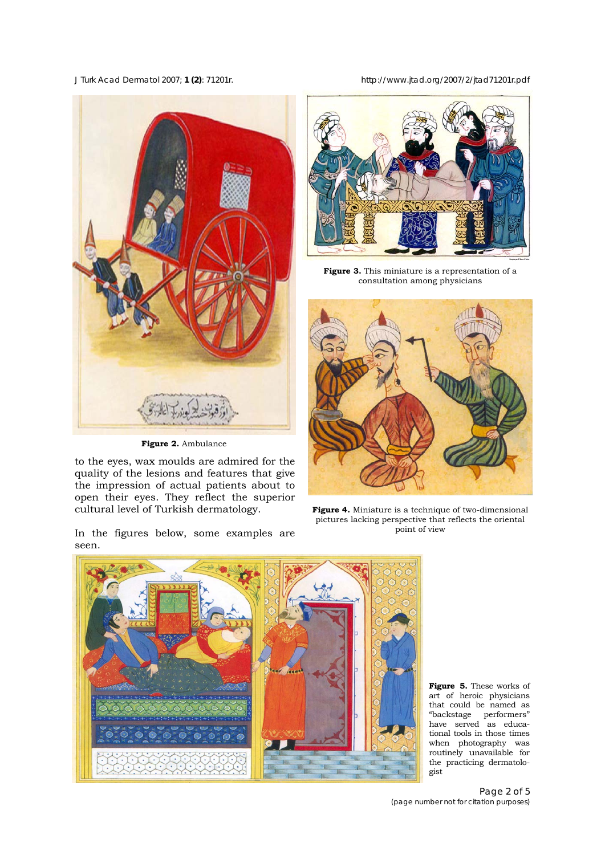*J Turk Acad Dermatol* 2007; **1 (2)**: 71201r. http://www.jtad.org/2007/2/jtad71201r.pdf



**Figure 2.** Ambulance

to the eyes, wax moulds are admired for the quality of the lesions and features that give the impression of actual patients about to open their eyes. They reflect the superior cultural level of Turkish dermatology.

In the figures below, some examples are seen.



**Figure 3.** This miniature is a representation of a consultation among physicians



**Figure 4.** Miniature is a technique of two-dimensional pictures lacking perspective that reflects the oriental point of view



**Figure 5.** These works of art of heroic physicians that could be named as "backstage performers" have served as educational tools in those times when photography was routinely unavailable for the practicing dermatologist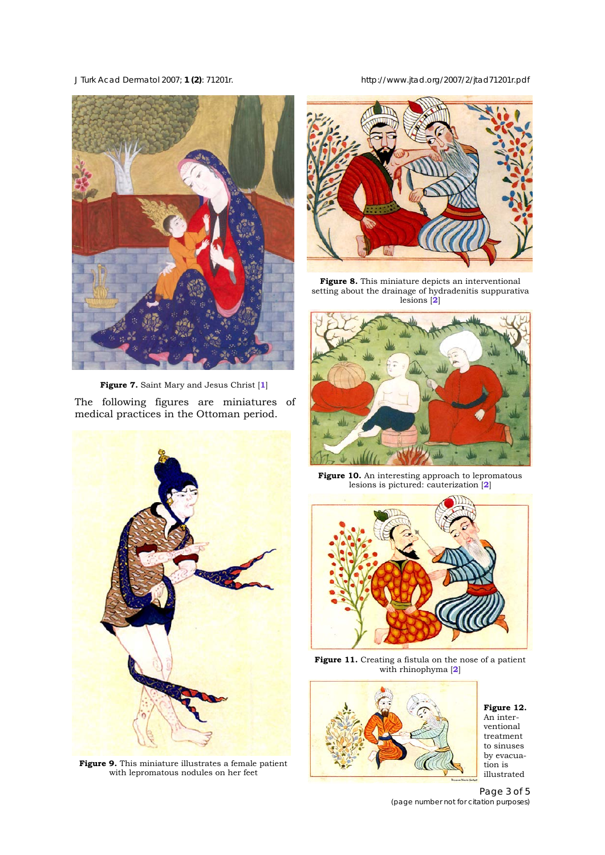*J Turk Acad Dermatol* 2007; **1 (2)**: 71201r. http://www.jtad.org/2007/2/jtad71201r.pdf



**Figure 7.** Saint Mary and Jesus Christ [**1**]

The following figures are miniatures of medical practices in the Ottoman period.



**Figure 9.** This miniature illustrates a female patient with lepromatous nodules on her feet



**Figure 8.** This miniature depicts an interventional setting about the drainage of hydradenitis suppurativa lesions [**2**]



Figure 10. An interesting approach to lepromatous lesions is pictured: cauterization [**2**]



Figure 11. Creating a fistula on the nose of a patient with rhinophyma [**2**]



**Figure 12.** An interventional treatment to sinuses by evacuation is illustrated

Page 3 of 5 *(page number not for citation purposes)*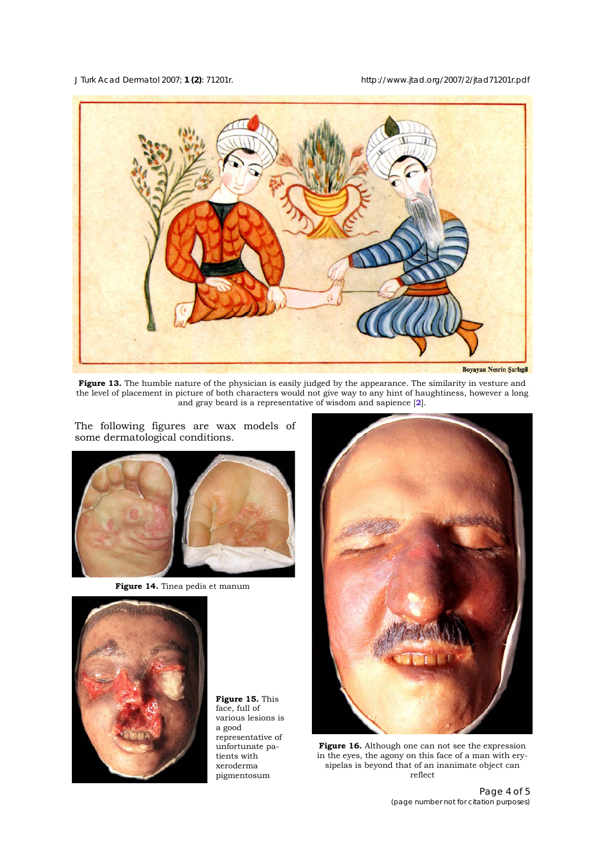*J Turk Acad Dermatol* 2007; **1 (2)**: 71201r. http://www.jtad.org/2007/2/jtad71201r.pdf



**Figure 13.** The humble nature of the physician is easily judged by the appearance. The similarity in vesture and the level of placement in picture of both characters would not give way to any hint of haughtiness, however a long and gray beard is a representative of wisdom and sapience [**2**].

some dermatological conditions.

The following figures are wax models of

**Figure 14.** Tinea pedis et manum



**Figure 15.** This face, full of various lesions is a good representative of unfortunate patients with xeroderma pigmentosum



**Figure 16.** Although one can not see the expression in the eyes, the agony on this face of a man with erysipelas is beyond that of an inanimate object can reflect